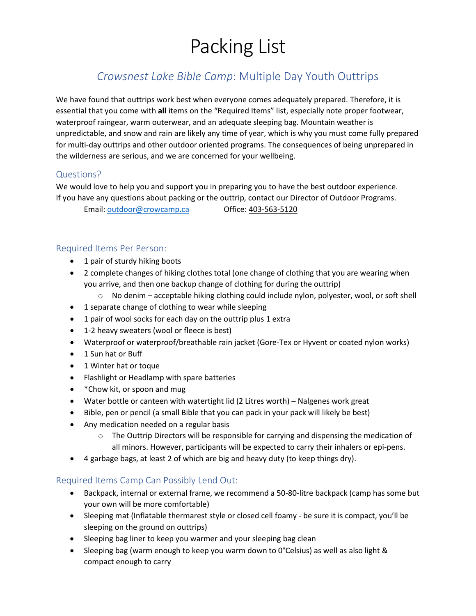# Packing List

## *Crowsnest Lake Bible Camp*: Multiple Day Youth Outtrips

We have found that outtrips work best when everyone comes adequately prepared. Therefore, it is essential that you come with **all** items on the "Required Items" list, especially note proper footwear, waterproof raingear, warm outerwear, and an adequate sleeping bag. Mountain weather is unpredictable, and snow and rain are likely any time of year, which is why you must come fully prepared for multi-day outtrips and other outdoor oriented programs. The consequences of being unprepared in the wilderness are serious, and we are concerned for your wellbeing.

### Questions?

We would love to help you and support you in preparing you to have the best outdoor experience. If you have any questions about packing or the outtrip, contact our Director of Outdoor Programs.

Email: [outdoor@crowcamp.ca](mailto:outdoor@crowcamp.ca) Office: 403-563-5120

#### Required Items Per Person:

- 1 pair of sturdy hiking boots
- 2 complete changes of hiking clothes total (one change of clothing that you are wearing when you arrive, and then one backup change of clothing for during the outtrip)
	- o No denim acceptable hiking clothing could include nylon, polyester, wool, or soft shell
- 1 separate change of clothing to wear while sleeping
- 1 pair of wool socks for each day on the outtrip plus 1 extra
- 1-2 heavy sweaters (wool or fleece is best)
- Waterproof or waterproof/breathable rain jacket (Gore-Tex or Hyvent or coated nylon works)
- 1 Sun hat or Buff
- 1 Winter hat or toque
- Flashlight or Headlamp with spare batteries
- \* Chow kit, or spoon and mug
- Water bottle or canteen with watertight lid (2 Litres worth) Nalgenes work great
- Bible, pen or pencil (a small Bible that you can pack in your pack will likely be best)
- Any medication needed on a regular basis
	- $\circ$  The Outtrip Directors will be responsible for carrying and dispensing the medication of all minors. However, participants will be expected to carry their inhalers or epi-pens.
- 4 garbage bags, at least 2 of which are big and heavy duty (to keep things dry).

#### Required Items Camp Can Possibly Lend Out:

- Backpack, internal or external frame, we recommend a 50-80-litre backpack (camp has some but your own will be more comfortable)
- Sleeping mat (Inflatable thermarest style or closed cell foamy be sure it is compact, you'll be sleeping on the ground on outtrips)
- Sleeping bag liner to keep you warmer and your sleeping bag clean
- Sleeping bag (warm enough to keep you warm down to 0°Celsius) as well as also light & compact enough to carry